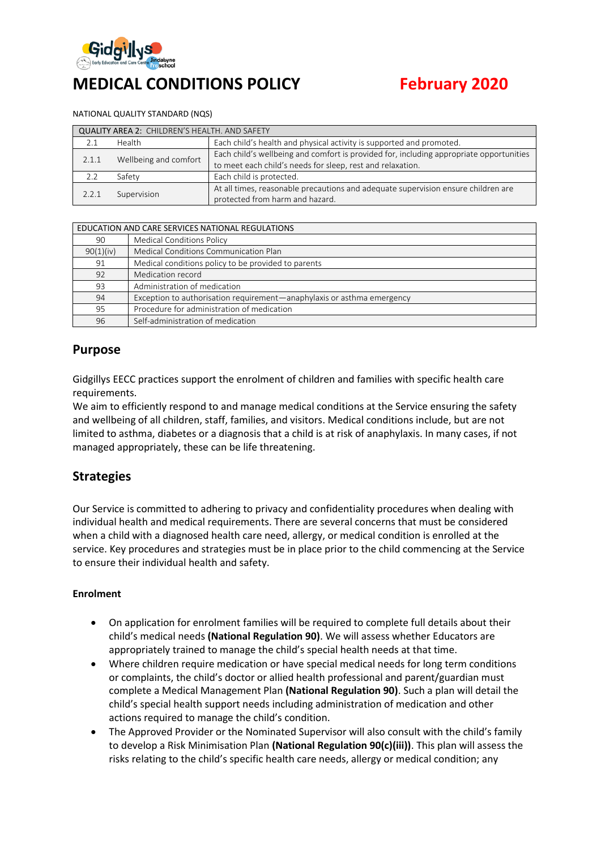

# **MEDICAL CONDITIONS POLICY February 2020**

#### NATIONAL QUALITY STANDARD (NQS)

| <b>QUALITY AREA 2: CHILDREN'S HEALTH. AND SAFETY</b> |                       |                                                                                                                                                       |  |  |  |
|------------------------------------------------------|-----------------------|-------------------------------------------------------------------------------------------------------------------------------------------------------|--|--|--|
|                                                      | Health                | Each child's health and physical activity is supported and promoted.                                                                                  |  |  |  |
| 2.1.1                                                | Wellbeing and comfort | Each child's wellbeing and comfort is provided for, including appropriate opportunities<br>to meet each child's needs for sleep, rest and relaxation. |  |  |  |
|                                                      | Safety                | Each child is protected.                                                                                                                              |  |  |  |
| 2.2.1                                                | Supervision           | At all times, reasonable precautions and adequate supervision ensure children are<br>protected from harm and hazard.                                  |  |  |  |

| EDUCATION AND CARE SERVICES NATIONAL REGULATIONS |                                                                        |  |
|--------------------------------------------------|------------------------------------------------------------------------|--|
| 90                                               | <b>Medical Conditions Policy</b>                                       |  |
| 90(1)(iv)                                        | Medical Conditions Communication Plan                                  |  |
| 91                                               | Medical conditions policy to be provided to parents                    |  |
| 92                                               | Medication record                                                      |  |
| 93                                               | Administration of medication                                           |  |
| 94                                               | Exception to authorisation requirement—anaphylaxis or asthma emergency |  |
| 95                                               | Procedure for administration of medication                             |  |
| 96                                               | Self-administration of medication                                      |  |

## **Purpose**

Gidgillys EECC practices support the enrolment of children and families with specific health care requirements.

We aim to efficiently respond to and manage medical conditions at the Service ensuring the safety and wellbeing of all children, staff, families, and visitors. Medical conditions include, but are not limited to asthma, diabetes or a diagnosis that a child is at risk of anaphylaxis. In many cases, if not managed appropriately, these can be life threatening.

## **Strategies**

Our Service is committed to adhering to privacy and confidentiality procedures when dealing with individual health and medical requirements. There are several concerns that must be considered when a child with a diagnosed health care need, allergy, or medical condition is enrolled at the service. Key procedures and strategies must be in place prior to the child commencing at the Service to ensure their individual health and safety.

#### **Enrolment**

- On application for enrolment families will be required to complete full details about their child's medical needs **(National Regulation 90)**. We will assess whether Educators are appropriately trained to manage the child's special health needs at that time.
- Where children require medication or have special medical needs for long term conditions or complaints, the child's doctor or allied health professional and parent/guardian must complete a Medical Management Plan **(National Regulation 90)**. Such a plan will detail the child's special health support needs including administration of medication and other actions required to manage the child's condition.
- The Approved Provider or the Nominated Supervisor will also consult with the child's family to develop a Risk Minimisation Plan **(National Regulation 90(c)(iii))**. This plan will assess the risks relating to the child's specific health care needs, allergy or medical condition; any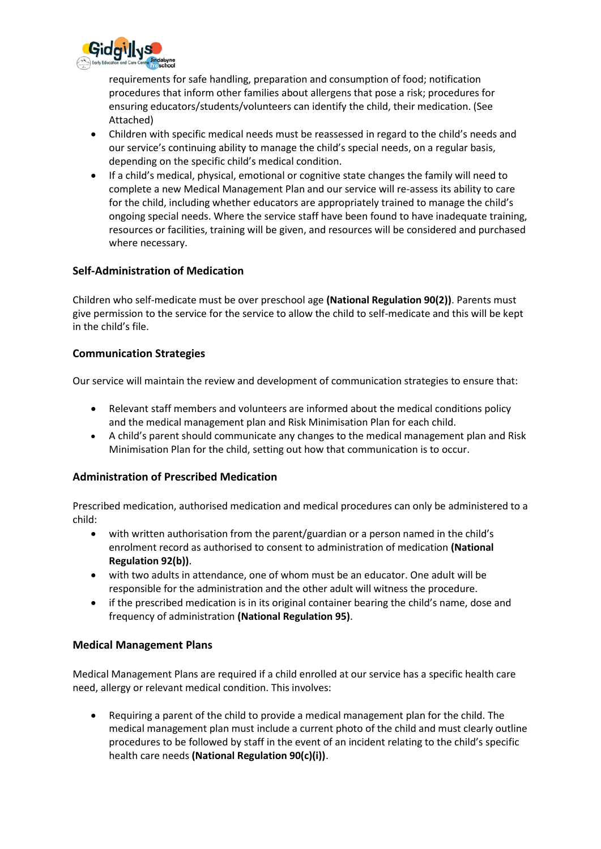

requirements for safe handling, preparation and consumption of food; notification procedures that inform other families about allergens that pose a risk; procedures for ensuring educators/students/volunteers can identify the child, their medication. (See Attached)

- Children with specific medical needs must be reassessed in regard to the child's needs and our service's continuing ability to manage the child's special needs, on a regular basis, depending on the specific child's medical condition.
- If a child's medical, physical, emotional or cognitive state changes the family will need to complete a new Medical Management Plan and our service will re-assess its ability to care for the child, including whether educators are appropriately trained to manage the child's ongoing special needs. Where the service staff have been found to have inadequate training, resources or facilities, training will be given, and resources will be considered and purchased where necessary.

## **Self-Administration of Medication**

Children who self-medicate must be over preschool age **(National Regulation 90(2))**. Parents must give permission to the service for the service to allow the child to self-medicate and this will be kept in the child's file.

## **Communication Strategies**

Our service will maintain the review and development of communication strategies to ensure that:

- Relevant staff members and volunteers are informed about the medical conditions policy and the medical management plan and Risk Minimisation Plan for each child.
- A child's parent should communicate any changes to the medical management plan and Risk Minimisation Plan for the child, setting out how that communication is to occur.

## **Administration of Prescribed Medication**

Prescribed medication, authorised medication and medical procedures can only be administered to a child:

- with written authorisation from the parent/guardian or a person named in the child's enrolment record as authorised to consent to administration of medication **(National Regulation 92(b))**.
- with two adults in attendance, one of whom must be an educator. One adult will be responsible for the administration and the other adult will witness the procedure.
- if the prescribed medication is in its original container bearing the child's name, dose and frequency of administration **(National Regulation 95)**.

## **Medical Management Plans**

Medical Management Plans are required if a child enrolled at our service has a specific health care need, allergy or relevant medical condition. This involves:

• Requiring a parent of the child to provide a medical management plan for the child. The medical management plan must include a current photo of the child and must clearly outline procedures to be followed by staff in the event of an incident relating to the child's specific health care needs **(National Regulation 90(c)(i))**.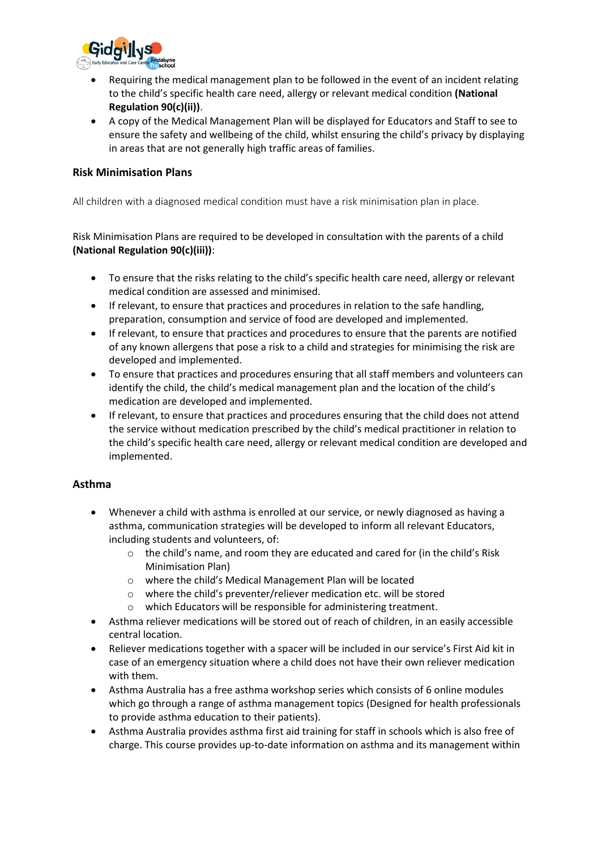

- Requiring the medical management plan to be followed in the event of an incident relating to the child's specific health care need, allergy or relevant medical condition **(National Regulation 90(c)(ii))**.
- A copy of the Medical Management Plan will be displayed for Educators and Staff to see to ensure the safety and wellbeing of the child, whilst ensuring the child's privacy by displaying in areas that are not generally high traffic areas of families.

## **Risk Minimisation Plans**

All children with a diagnosed medical condition must have a risk minimisation plan in place.

Risk Minimisation Plans are required to be developed in consultation with the parents of a child **(National Regulation 90(c)(iii))**:

- To ensure that the risks relating to the child's specific health care need, allergy or relevant medical condition are assessed and minimised.
- If relevant, to ensure that practices and procedures in relation to the safe handling, preparation, consumption and service of food are developed and implemented.
- If relevant, to ensure that practices and procedures to ensure that the parents are notified of any known allergens that pose a risk to a child and strategies for minimising the risk are developed and implemented.
- To ensure that practices and procedures ensuring that all staff members and volunteers can identify the child, the child's medical management plan and the location of the child's medication are developed and implemented.
- If relevant, to ensure that practices and procedures ensuring that the child does not attend the service without medication prescribed by the child's medical practitioner in relation to the child's specific health care need, allergy or relevant medical condition are developed and implemented.

## **Asthma**

- Whenever a child with asthma is enrolled at our service, or newly diagnosed as having a asthma, communication strategies will be developed to inform all relevant Educators, including students and volunteers, of:
	- o the child's name, and room they are educated and cared for (in the child's Risk Minimisation Plan)
	- o where the child's Medical Management Plan will be located
	- o where the child's preventer/reliever medication etc. will be stored
	- o which Educators will be responsible for administering treatment.
- Asthma reliever medications will be stored out of reach of children, in an easily accessible central location.
- Reliever medications together with a spacer will be included in our service's First Aid kit in case of an emergency situation where a child does not have their own reliever medication with them.
- Asthma Australia has a free asthma workshop series which consists of 6 online modules which go through a range of asthma management topics (Designed for health professionals to provide asthma education to their patients).
- Asthma Australia provides asthma first aid training for staff in schools which is also free of charge. This course provides up-to-date information on asthma and its management within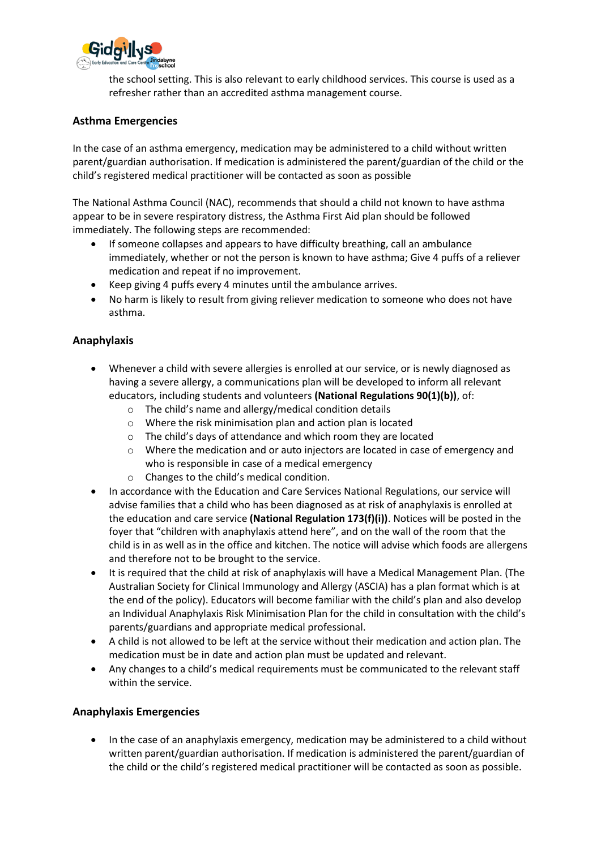

the school setting. This is also relevant to early childhood services. This course is used as a refresher rather than an accredited asthma management course.

## **Asthma Emergencies**

In the case of an asthma emergency, medication may be administered to a child without written parent/guardian authorisation. If medication is administered the parent/guardian of the child or the child's registered medical practitioner will be contacted as soon as possible

The National Asthma Council (NAC), recommends that should a child not known to have asthma appear to be in severe respiratory distress, the Asthma First Aid plan should be followed immediately. The following steps are recommended:

- If someone collapses and appears to have difficulty breathing, call an ambulance immediately, whether or not the person is known to have asthma; Give 4 puffs of a reliever medication and repeat if no improvement.
- Keep giving 4 puffs every 4 minutes until the ambulance arrives.
- No harm is likely to result from giving reliever medication to someone who does not have asthma.

## **Anaphylaxis**

- Whenever a child with severe allergies is enrolled at our service, or is newly diagnosed as having a severe allergy, a communications plan will be developed to inform all relevant educators, including students and volunteers **(National Regulations 90(1)(b))**, of:
	- o The child's name and allergy/medical condition details
	- o Where the risk minimisation plan and action plan is located
	- o The child's days of attendance and which room they are located
	- o Where the medication and or auto injectors are located in case of emergency and who is responsible in case of a medical emergency
	- o Changes to the child's medical condition.
- In accordance with the Education and Care Services National Regulations, our service will advise families that a child who has been diagnosed as at risk of anaphylaxis is enrolled at the education and care service **(National Regulation 173(f)(i))**. Notices will be posted in the foyer that "children with anaphylaxis attend here", and on the wall of the room that the child is in as well as in the office and kitchen. The notice will advise which foods are allergens and therefore not to be brought to the service.
- It is required that the child at risk of anaphylaxis will have a Medical Management Plan. (The Australian Society for Clinical Immunology and Allergy (ASCIA) has a plan format which is at the end of the policy). Educators will become familiar with the child's plan and also develop an Individual Anaphylaxis Risk Minimisation Plan for the child in consultation with the child's parents/guardians and appropriate medical professional.
- A child is not allowed to be left at the service without their medication and action plan. The medication must be in date and action plan must be updated and relevant.
- Any changes to a child's medical requirements must be communicated to the relevant staff within the service.

## **Anaphylaxis Emergencies**

• In the case of an anaphylaxis emergency, medication may be administered to a child without written parent/guardian authorisation. If medication is administered the parent/guardian of the child or the child's registered medical practitioner will be contacted as soon as possible.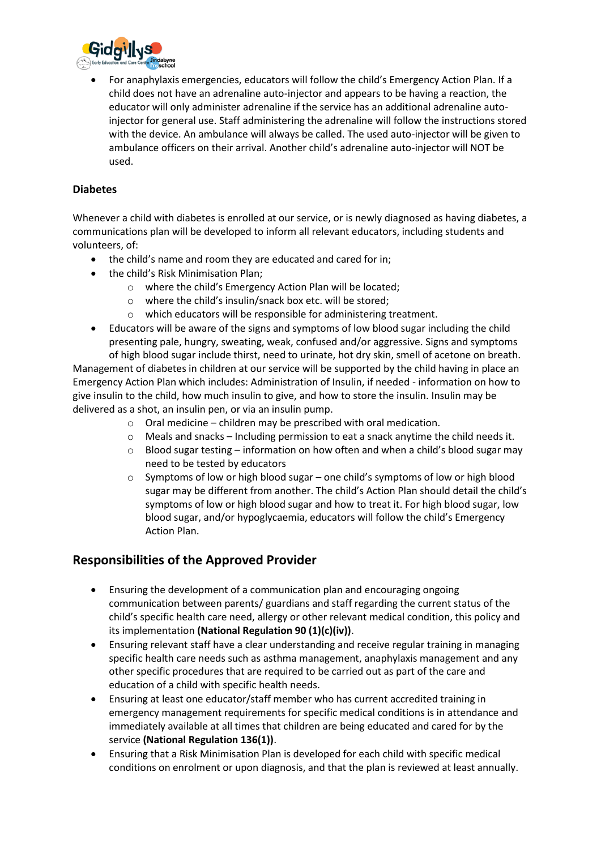

• For anaphylaxis emergencies, educators will follow the child's Emergency Action Plan. If a child does not have an adrenaline auto-injector and appears to be having a reaction, the educator will only administer adrenaline if the service has an additional adrenaline autoinjector for general use. Staff administering the adrenaline will follow the instructions stored with the device. An ambulance will always be called. The used auto-injector will be given to ambulance officers on their arrival. Another child's adrenaline auto-injector will NOT be used.

## **Diabetes**

Whenever a child with diabetes is enrolled at our service, or is newly diagnosed as having diabetes, a communications plan will be developed to inform all relevant educators, including students and volunteers, of:

- the child's name and room they are educated and cared for in;
- the child's Risk Minimisation Plan;
	- o where the child's Emergency Action Plan will be located;
	- o where the child's insulin/snack box etc. will be stored;
	- o which educators will be responsible for administering treatment.
- Educators will be aware of the signs and symptoms of low blood sugar including the child presenting pale, hungry, sweating, weak, confused and/or aggressive. Signs and symptoms

of high blood sugar include thirst, need to urinate, hot dry skin, smell of acetone on breath. Management of diabetes in children at our service will be supported by the child having in place an Emergency Action Plan which includes: Administration of Insulin, if needed - information on how to give insulin to the child, how much insulin to give, and how to store the insulin. Insulin may be delivered as a shot, an insulin pen, or via an insulin pump.

- $\circ$  Oral medicine children may be prescribed with oral medication.
- $\circ$  Meals and snacks Including permission to eat a snack anytime the child needs it.
- $\circ$  Blood sugar testing information on how often and when a child's blood sugar may need to be tested by educators
- $\circ$  Symptoms of low or high blood sugar one child's symptoms of low or high blood sugar may be different from another. The child's Action Plan should detail the child's symptoms of low or high blood sugar and how to treat it. For high blood sugar, low blood sugar, and/or hypoglycaemia, educators will follow the child's Emergency Action Plan.

## **Responsibilities of the Approved Provider**

- Ensuring the development of a communication plan and encouraging ongoing communication between parents/ guardians and staff regarding the current status of the child's specific health care need, allergy or other relevant medical condition, this policy and its implementation **(National Regulation 90 (1)(c)(iv))**.
- Ensuring relevant staff have a clear understanding and receive regular training in managing specific health care needs such as asthma management, anaphylaxis management and any other specific procedures that are required to be carried out as part of the care and education of a child with specific health needs.
- Ensuring at least one educator/staff member who has current accredited training in emergency management requirements for specific medical conditions is in attendance and immediately available at all times that children are being educated and cared for by the service **(National Regulation 136(1))**.
- Ensuring that a Risk Minimisation Plan is developed for each child with specific medical conditions on enrolment or upon diagnosis, and that the plan is reviewed at least annually.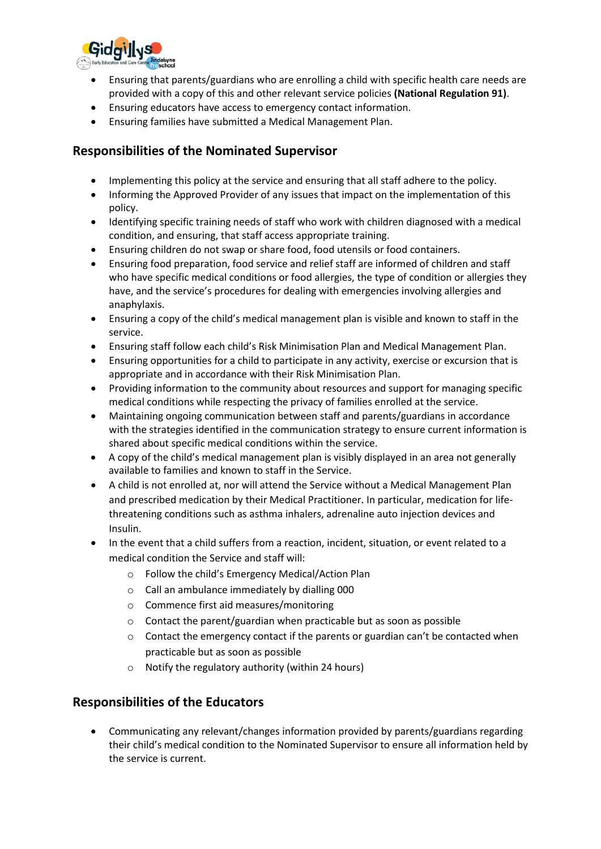

- Ensuring that parents/guardians who are enrolling a child with specific health care needs are provided with a copy of this and other relevant service policies **(National Regulation 91)**.
- Ensuring educators have access to emergency contact information.
- Ensuring families have submitted a Medical Management Plan.

## **Responsibilities of the Nominated Supervisor**

- Implementing this policy at the service and ensuring that all staff adhere to the policy.
- Informing the Approved Provider of any issues that impact on the implementation of this policy.
- Identifying specific training needs of staff who work with children diagnosed with a medical condition, and ensuring, that staff access appropriate training.
- Ensuring children do not swap or share food, food utensils or food containers.
- Ensuring food preparation, food service and relief staff are informed of children and staff who have specific medical conditions or food allergies, the type of condition or allergies they have, and the service's procedures for dealing with emergencies involving allergies and anaphylaxis.
- Ensuring a copy of the child's medical management plan is visible and known to staff in the service.
- Ensuring staff follow each child's Risk Minimisation Plan and Medical Management Plan.
- Ensuring opportunities for a child to participate in any activity, exercise or excursion that is appropriate and in accordance with their Risk Minimisation Plan.
- Providing information to the community about resources and support for managing specific medical conditions while respecting the privacy of families enrolled at the service.
- Maintaining ongoing communication between staff and parents/guardians in accordance with the strategies identified in the communication strategy to ensure current information is shared about specific medical conditions within the service.
- A copy of the child's medical management plan is visibly displayed in an area not generally available to families and known to staff in the Service.
- A child is not enrolled at, nor will attend the Service without a Medical Management Plan and prescribed medication by their Medical Practitioner. In particular, medication for lifethreatening conditions such as asthma inhalers, adrenaline auto injection devices and Insulin.
- In the event that a child suffers from a reaction, incident, situation, or event related to a medical condition the Service and staff will:
	- o Follow the child's Emergency Medical/Action Plan
	- o Call an ambulance immediately by dialling 000
	- o Commence first aid measures/monitoring
	- o Contact the parent/guardian when practicable but as soon as possible
	- $\circ$  Contact the emergency contact if the parents or guardian can't be contacted when practicable but as soon as possible
	- o Notify the regulatory authority (within 24 hours)

## **Responsibilities of the Educators**

• Communicating any relevant/changes information provided by parents/guardians regarding their child's medical condition to the Nominated Supervisor to ensure all information held by the service is current.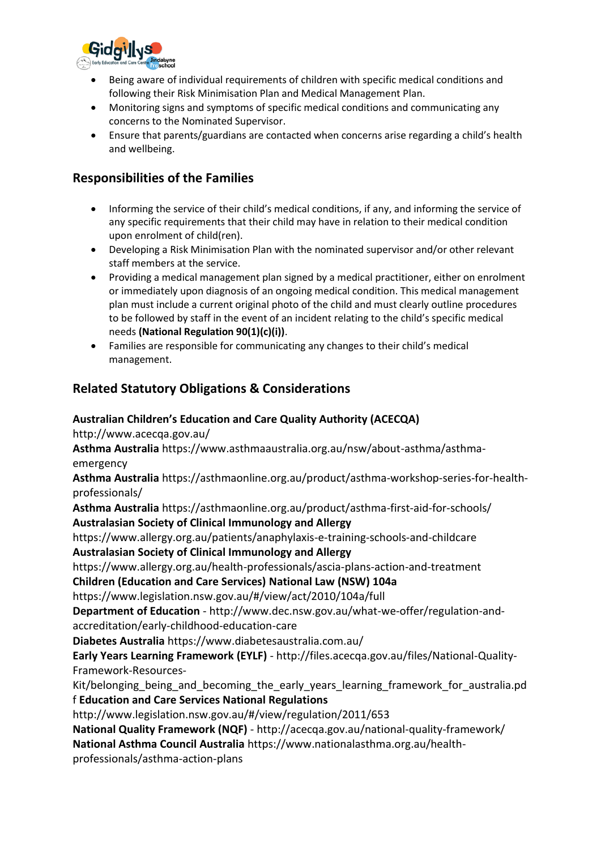

- Being aware of individual requirements of children with specific medical conditions and following their Risk Minimisation Plan and Medical Management Plan.
- Monitoring signs and symptoms of specific medical conditions and communicating any concerns to the Nominated Supervisor.
- Ensure that parents/guardians are contacted when concerns arise regarding a child's health and wellbeing.

## **Responsibilities of the Families**

- Informing the service of their child's medical conditions, if any, and informing the service of any specific requirements that their child may have in relation to their medical condition upon enrolment of child(ren).
- Developing a Risk Minimisation Plan with the nominated supervisor and/or other relevant staff members at the service.
- Providing a medical management plan signed by a medical practitioner, either on enrolment or immediately upon diagnosis of an ongoing medical condition. This medical management plan must include a current original photo of the child and must clearly outline procedures to be followed by staff in the event of an incident relating to the child's specific medical needs **(National Regulation 90(1)(c)(i))**.
- Families are responsible for communicating any changes to their child's medical management.

## **Related Statutory Obligations & Considerations**

## **Australian Children's Education and Care Quality Authority (ACECQA)**

http://www.acecqa.gov.au/

**Asthma Australia** https://www.asthmaaustralia.org.au/nsw/about-asthma/asthmaemergency

**Asthma Australia** https://asthmaonline.org.au/product/asthma-workshop-series-for-healthprofessionals/

**Asthma Australia** https://asthmaonline.org.au/product/asthma-first-aid-for-schools/ **Australasian Society of Clinical Immunology and Allergy**

https://www.allergy.org.au/patients/anaphylaxis-e-training-schools-and-childcare **Australasian Society of Clinical Immunology and Allergy**

https://www.allergy.org.au/health-professionals/ascia-plans-action-and-treatment

**Children (Education and Care Services) National Law (NSW) 104a**

https://www.legislation.nsw.gov.au/#/view/act/2010/104a/full

**Department of Education** - http://www.dec.nsw.gov.au/what-we-offer/regulation-andaccreditation/early-childhood-education-care

**Diabetes Australia** https://www.diabetesaustralia.com.au/

**Early Years Learning Framework (EYLF)** - http://files.acecqa.gov.au/files/National-Quality-Framework-Resources-

Kit/belonging being and becoming the early years learning framework for australia.pd f **Education and Care Services National Regulations** 

http://www.legislation.nsw.gov.au/#/view/regulation/2011/653

**National Quality Framework (NQF)** - http://acecqa.gov.au/national-quality-framework/ **National Asthma Council Australia** https://www.nationalasthma.org.au/health-

professionals/asthma-action-plans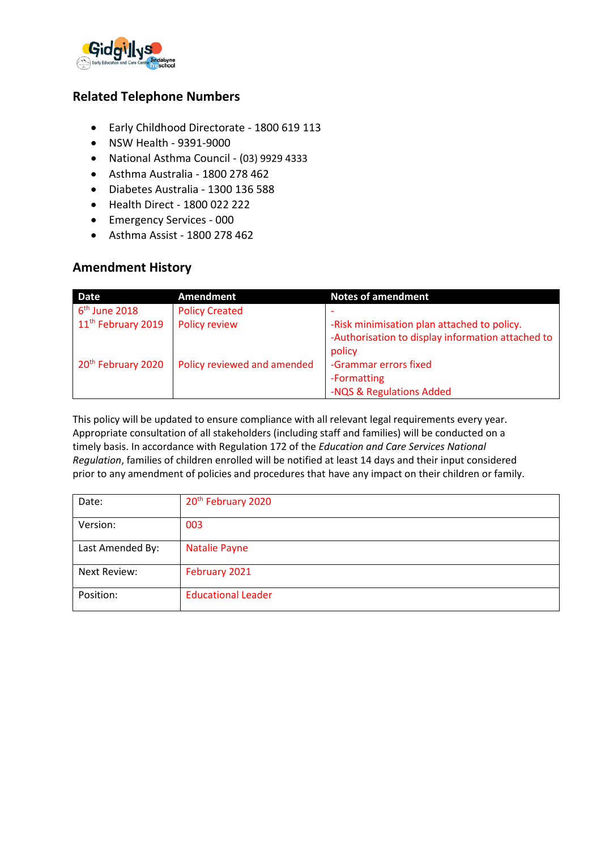

## **Related Telephone Numbers**

- Early Childhood Directorate 1800 619 113
- NSW Health 9391-9000
- National Asthma Council (03) 9929 4333
- Asthma Australia 1800 278 462
- Diabetes Australia 1300 136 588
- Health Direct 1800 022 222
- Emergency Services 000
- Asthma Assist 1800 278 462

## **Amendment History**

| <b>Date</b>                    | <b>Amendment</b>            | <b>Notes of amendment</b>                                                                                  |
|--------------------------------|-----------------------------|------------------------------------------------------------------------------------------------------------|
| $6th$ June 2018                | <b>Policy Created</b>       |                                                                                                            |
| 11 <sup>th</sup> February 2019 | Policy review               | -Risk minimisation plan attached to policy.<br>-Authorisation to display information attached to<br>policy |
| 20 <sup>th</sup> February 2020 | Policy reviewed and amended | -Grammar errors fixed<br>-Formatting<br>-NQS & Regulations Added                                           |

This policy will be updated to ensure compliance with all relevant legal requirements every year. Appropriate consultation of all stakeholders (including staff and families) will be conducted on a timely basis. In accordance with Regulation 172 of the *Education and Care Services National Regulation*, families of children enrolled will be notified at least 14 days and their input considered prior to any amendment of policies and procedures that have any impact on their children or family.

| Date:               | 20 <sup>th</sup> February 2020 |
|---------------------|--------------------------------|
| Version:            | 003                            |
| Last Amended By:    | <b>Natalie Payne</b>           |
| <b>Next Review:</b> | February 2021                  |
| Position:           | <b>Educational Leader</b>      |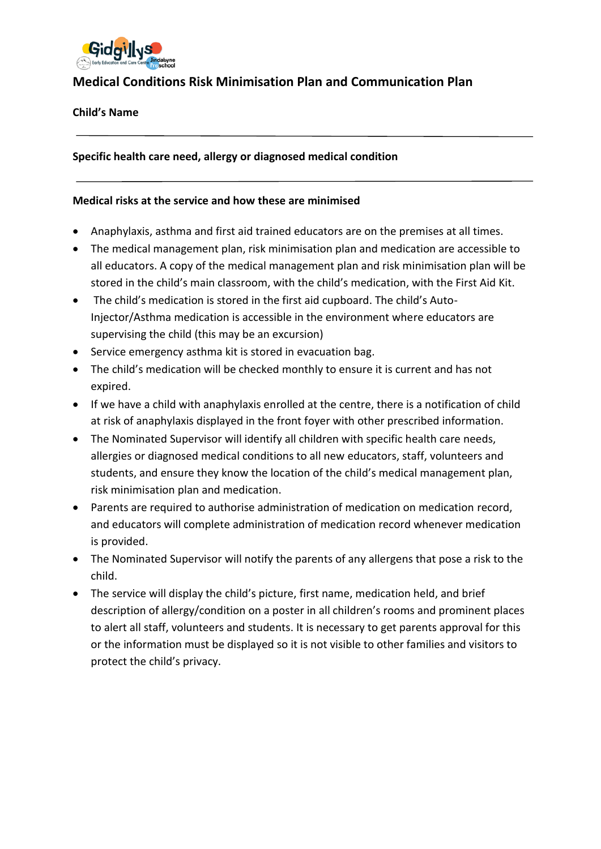

## **Medical Conditions Risk Minimisation Plan and Communication Plan**

## **Child's Name**

**Specific health care need, allergy or diagnosed medical condition**

## **Medical risks at the service and how these are minimised**

- Anaphylaxis, asthma and first aid trained educators are on the premises at all times.
- The medical management plan, risk minimisation plan and medication are accessible to all educators. A copy of the medical management plan and risk minimisation plan will be stored in the child's main classroom, with the child's medication, with the First Aid Kit.
- The child's medication is stored in the first aid cupboard. The child's Auto-Injector/Asthma medication is accessible in the environment where educators are supervising the child (this may be an excursion)
- Service emergency asthma kit is stored in evacuation bag.
- The child's medication will be checked monthly to ensure it is current and has not expired.
- If we have a child with anaphylaxis enrolled at the centre, there is a notification of child at risk of anaphylaxis displayed in the front foyer with other prescribed information.
- The Nominated Supervisor will identify all children with specific health care needs, allergies or diagnosed medical conditions to all new educators, staff, volunteers and students, and ensure they know the location of the child's medical management plan, risk minimisation plan and medication.
- Parents are required to authorise administration of medication on medication record, and educators will complete administration of medication record whenever medication is provided.
- The Nominated Supervisor will notify the parents of any allergens that pose a risk to the child.
- The service will display the child's picture, first name, medication held, and brief description of allergy/condition on a poster in all children's rooms and prominent places to alert all staff, volunteers and students. It is necessary to get parents approval for this or the information must be displayed so it is not visible to other families and visitors to protect the child's privacy.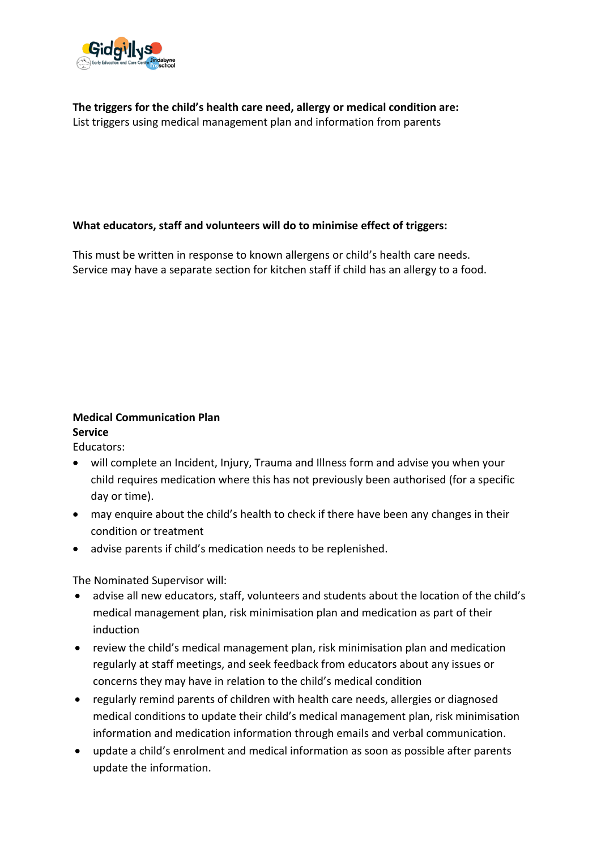

**The triggers for the child's health care need, allergy or medical condition are:** List triggers using medical management plan and information from parents

## **What educators, staff and volunteers will do to minimise effect of triggers:**

This must be written in response to known allergens or child's health care needs. Service may have a separate section for kitchen staff if child has an allergy to a food.

#### **Medical Communication Plan Service**

Educators:

- will complete an Incident, Injury, Trauma and Illness form and advise you when your child requires medication where this has not previously been authorised (for a specific day or time).
- may enquire about the child's health to check if there have been any changes in their condition or treatment
- advise parents if child's medication needs to be replenished.

The Nominated Supervisor will:

- advise all new educators, staff, volunteers and students about the location of the child's medical management plan, risk minimisation plan and medication as part of their induction
- review the child's medical management plan, risk minimisation plan and medication regularly at staff meetings, and seek feedback from educators about any issues or concerns they may have in relation to the child's medical condition
- regularly remind parents of children with health care needs, allergies or diagnosed medical conditions to update their child's medical management plan, risk minimisation information and medication information through emails and verbal communication.
- update a child's enrolment and medical information as soon as possible after parents update the information.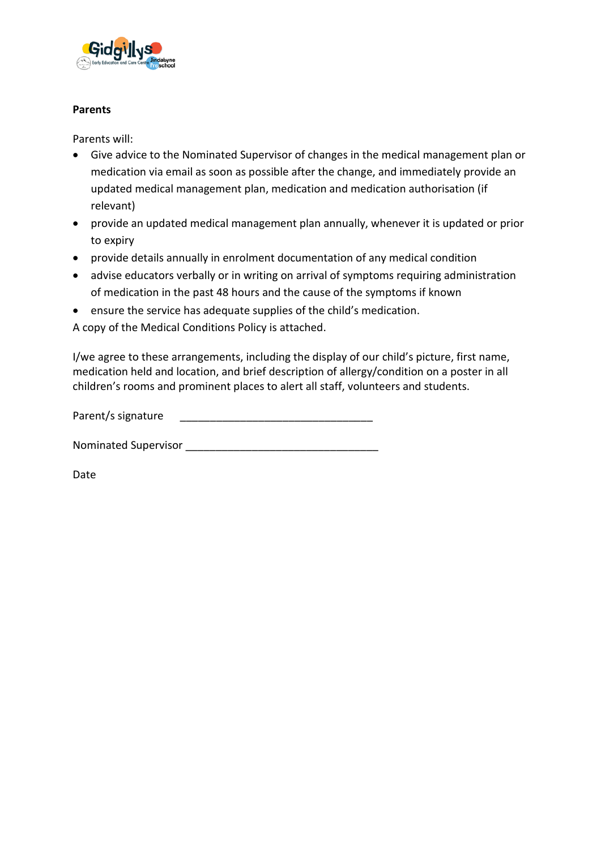

## **Parents**

Parents will:

- Give advice to the Nominated Supervisor of changes in the medical management plan or medication via email as soon as possible after the change, and immediately provide an updated medical management plan, medication and medication authorisation (if relevant)
- provide an updated medical management plan annually, whenever it is updated or prior to expiry
- provide details annually in enrolment documentation of any medical condition
- advise educators verbally or in writing on arrival of symptoms requiring administration of medication in the past 48 hours and the cause of the symptoms if known
- ensure the service has adequate supplies of the child's medication.

A copy of the Medical Conditions Policy is attached.

I/we agree to these arrangements, including the display of our child's picture, first name, medication held and location, and brief description of allergy/condition on a poster in all children's rooms and prominent places to alert all staff, volunteers and students.

Parent/s signature

Nominated Supervisor \_\_\_\_\_\_\_\_\_\_\_\_\_\_\_\_\_\_\_\_\_\_\_\_\_\_\_\_\_\_\_\_

Date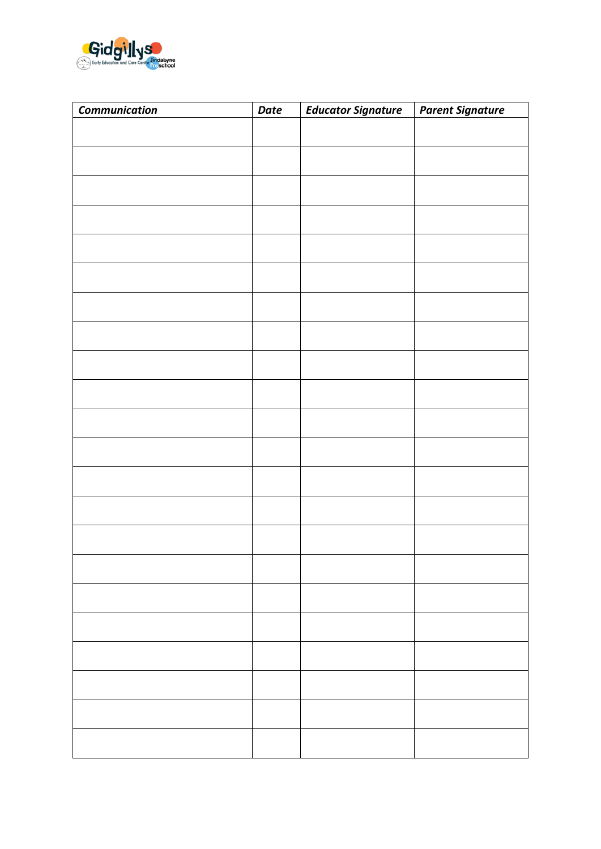

| <b>Communication</b> | Date | <b>Educator Signature</b> | <b>Parent Signature</b> |
|----------------------|------|---------------------------|-------------------------|
|                      |      |                           |                         |
|                      |      |                           |                         |
|                      |      |                           |                         |
|                      |      |                           |                         |
|                      |      |                           |                         |
|                      |      |                           |                         |
|                      |      |                           |                         |
|                      |      |                           |                         |
|                      |      |                           |                         |
|                      |      |                           |                         |
|                      |      |                           |                         |
|                      |      |                           |                         |
|                      |      |                           |                         |
|                      |      |                           |                         |
|                      |      |                           |                         |
|                      |      |                           |                         |
|                      |      |                           |                         |
|                      |      |                           |                         |
|                      |      |                           |                         |
|                      |      |                           |                         |
|                      |      |                           |                         |
|                      |      |                           |                         |
|                      |      |                           |                         |
|                      |      |                           |                         |